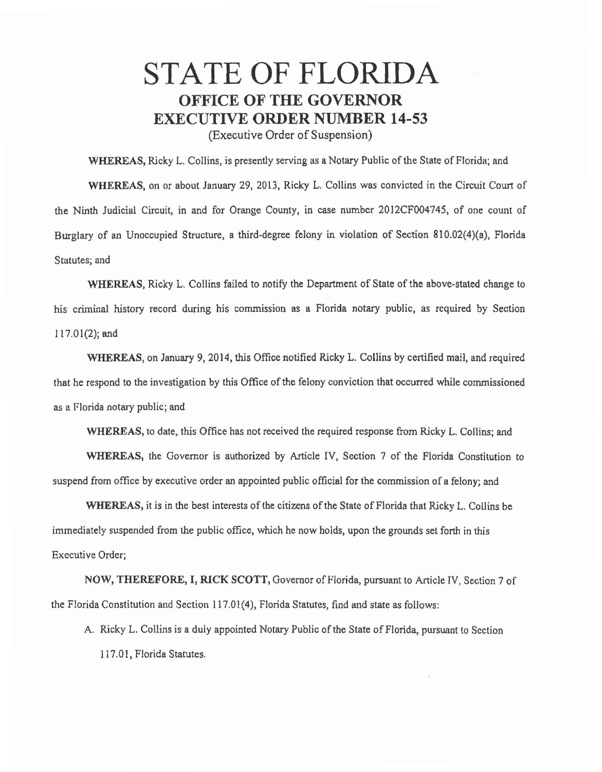## STATE OF FLORIDA OFFICE OF THE GOVERNOR EXECUTIVE ORDER NUMBER 14-53 (Executive Order of Suspension)

WHEREAS, Ricky L. Collins, is presently serving as a Notary Public of the State of Florida; and WHEREAS, on or about January 29, 2013, Ricky L. Collins was convicted in the Circuit Court of the Ninth Judicial Circuit, in and for Orange County, in case number 2012CF004745, of one count of Burglary of an Unoccupied Structure, a third-degree felony in violation of Section 810.02(4)(a), Florida Statutes; and

WHEREAS, Ricky L. Collins failed to notify the Department of State of the above-stated change to his criminal history record during his commission as a Florida notary public, as required by Section 117.01(2); and

WHEREAS, on January 9, 2014, this Office notified Ricky L. Collins by certified mail, and required that he respond to the investigation by this Office of the felony conviction that occurred while commissioned as a Florida notary public; and

WHEREAS, to date, this Office has not received the required response from Ricky L. Collins; and

WHEREAS, the Governor is authorized by Article IV, Section 7 of the Florida Constitution to suspend from office by executive order an appointed public official for the commission of a felony; and

WHEREAS, it *is* in the best interests of the citizens of the State of Florida that Ricky L. Collins be immediately suspended from the public office, which he now holds, upon the grounds set forth in this Executive Order;

NOW, THEREFORE, I, RICK SCOTT, Governor of Florida, pursuant to Article IV, Section 7 of the Florida Constitution and Section 117.0l (4), Florida Statutes, find and state as follows:

A. Ricky L. Collins is a duly appointed Notary Public of the State of Florida, pursuant to Section 117.01, Florida Statutes.